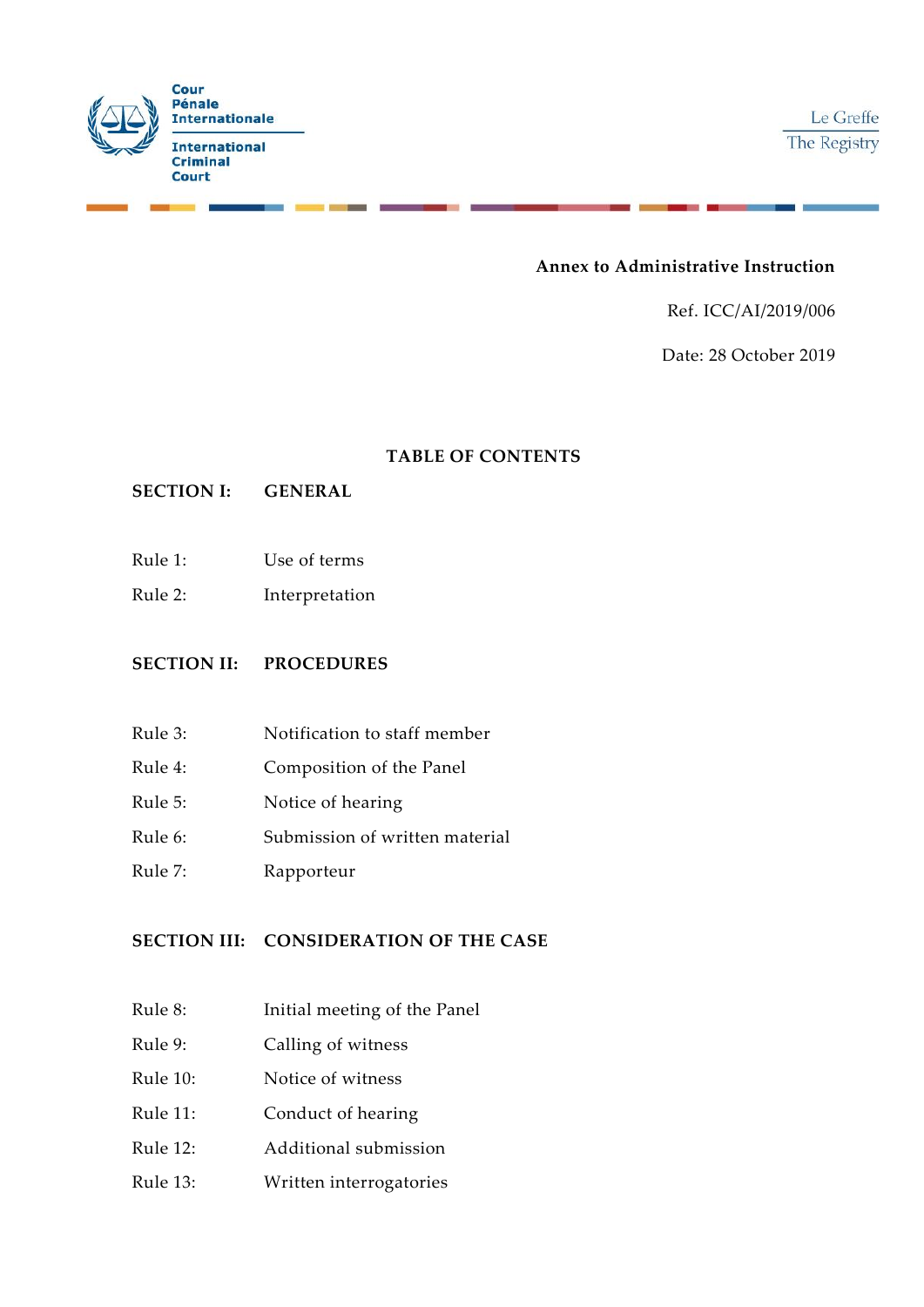

# **Annex to Administrative Instruction**

Ref. ICC/AI/2019/006

Date: 28 October 2019

### **TABLE OF CONTENTS**

# **SECTION I: GENERAL**

- Rule 1: Use of terms
- Rule 2: Interpretation

### **SECTION II: PROCEDURES**

- Rule 3: Notification to staff member
- Rule 4: Composition of the Panel
- Rule 5: Notice of hearing
- Rule 6: Submission of written material
- Rule 7: Rapporteur

# **SECTION III: CONSIDERATION OF THE CASE**

- Rule 8: Initial meeting of the Panel
- Rule 9: Calling of witness
- Rule 10: Notice of witness
- Rule 11: Conduct of hearing
- Rule 12: Additional submission
- Rule 13: Written interrogatories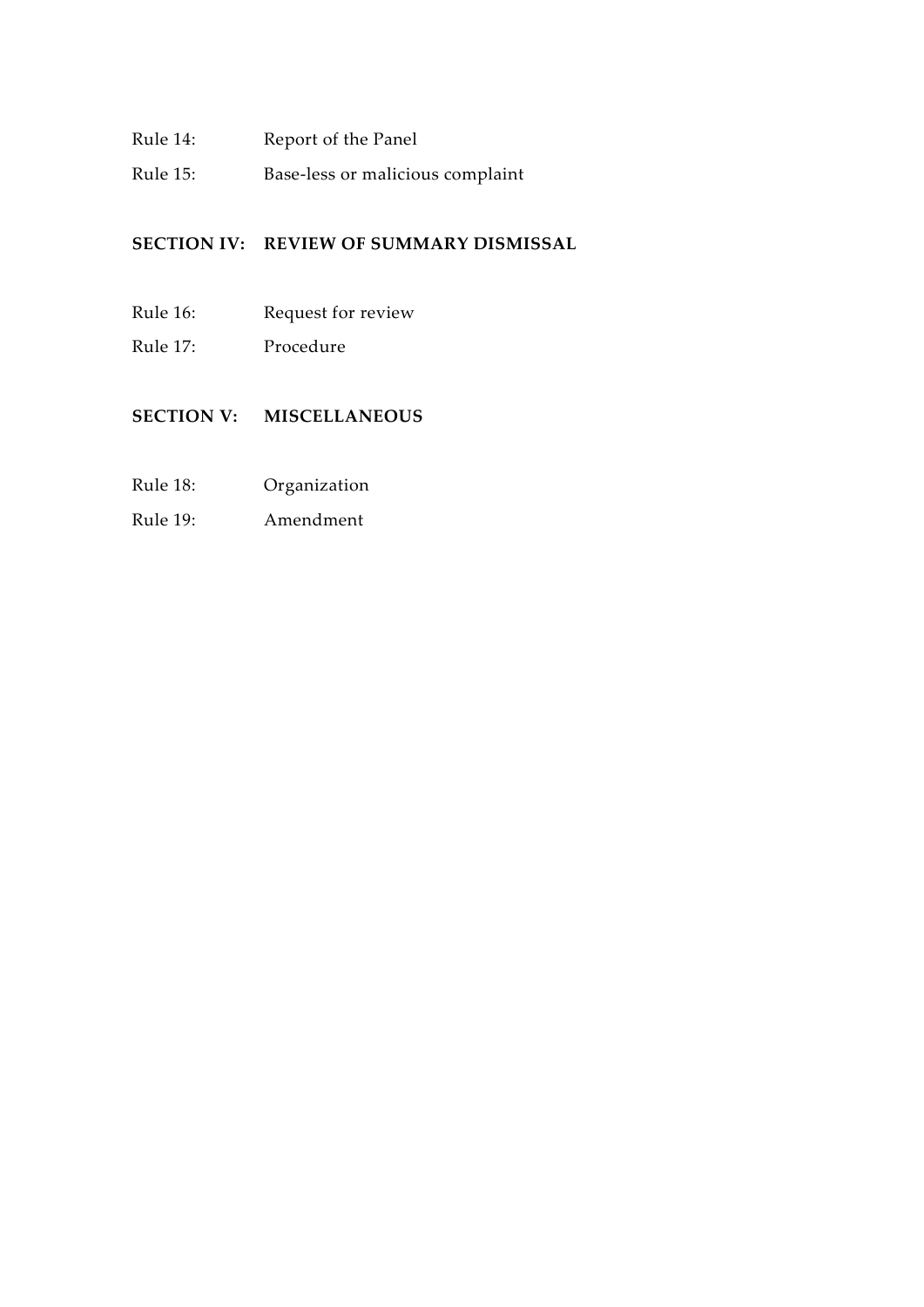- Rule 14: Report of the Panel
- Rule 15: Base-less or malicious complaint

# **SECTION IV: REVIEW OF SUMMARY DISMISSAL**

- Rule 16: Request for review
- Rule 17: Procedure

# **SECTION V: MISCELLANEOUS**

- Rule 18: Organization
- Rule 19: Amendment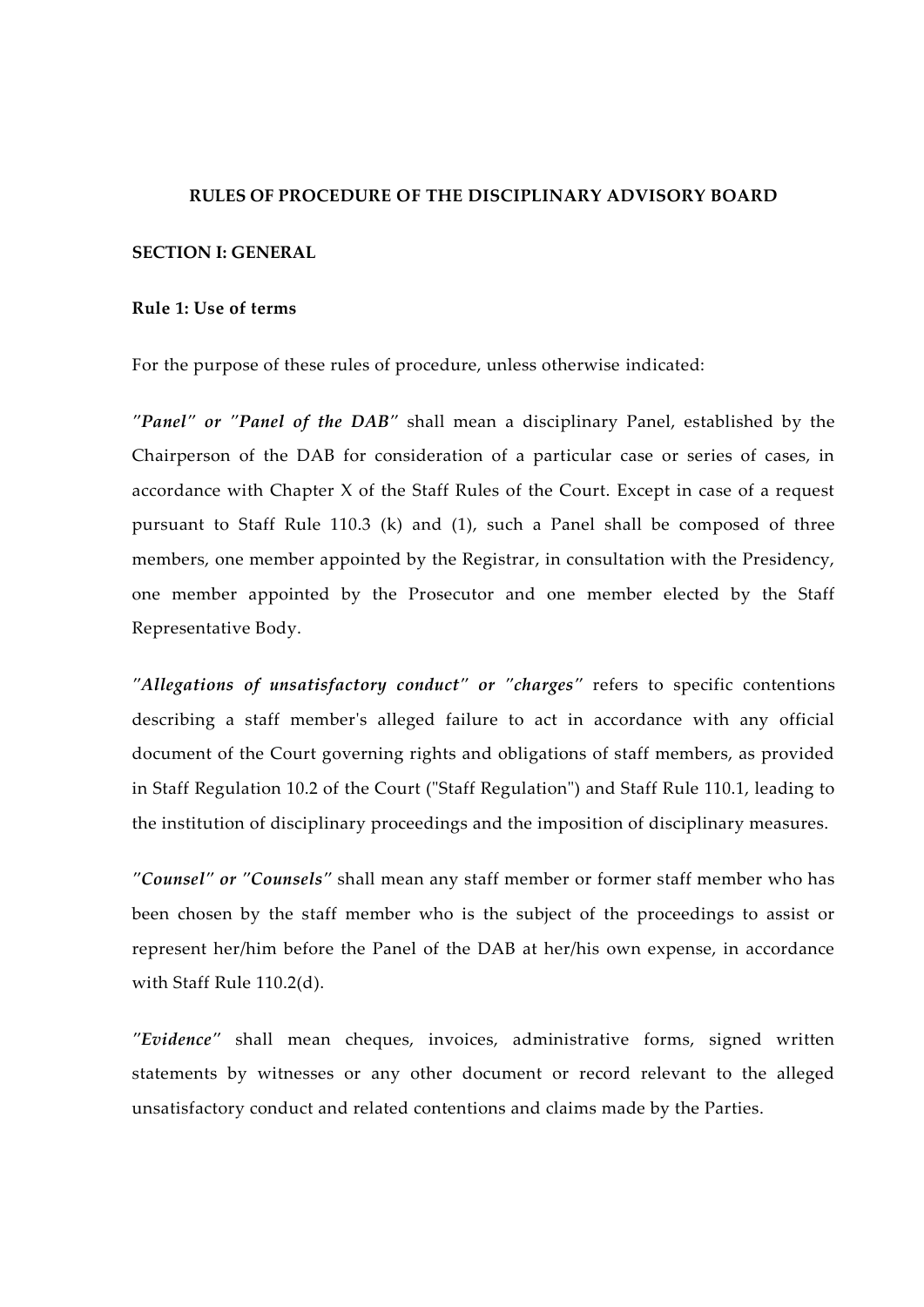#### **RULES OF PROCEDURE OF THE DISCIPLINARY ADVISORY BOARD**

#### **SECTION I: GENERAL**

#### **Rule 1: Use of terms**

For the purpose of these rules of procedure, unless otherwise indicated:

*"Panel" or "Panel of the DAB"* shall mean a disciplinary Panel, established by the Chairperson of the DAB for consideration of a particular case or series of cases, in accordance with Chapter X of the Staff Rules of the Court. Except in case of a request pursuant to Staff Rule 110.3 (k) and (1), such a Panel shall be composed of three members, one member appointed by the Registrar, in consultation with the Presidency, one member appointed by the Prosecutor and one member elected by the Staff Representative Body.

*"Allegations of unsatisfactory conduct" or "charges"* refers to specific contentions describing a staff member's alleged failure to act in accordance with any official document of the Court governing rights and obligations of staff members, as provided in Staff Regulation 10.2 of the Court ("Staff Regulation") and Staff Rule 110.1, leading to the institution of disciplinary proceedings and the imposition of disciplinary measures.

*"Counsel" or "Counsels"* shall mean any staff member or former staff member who has been chosen by the staff member who is the subject of the proceedings to assist or represent her/him before the Panel of the DAB at her/his own expense, in accordance with Staff Rule 110.2(d).

*"Evidence"* shall mean cheques, invoices, administrative forms, signed written statements by witnesses or any other document or record relevant to the alleged unsatisfactory conduct and related contentions and claims made by the Parties.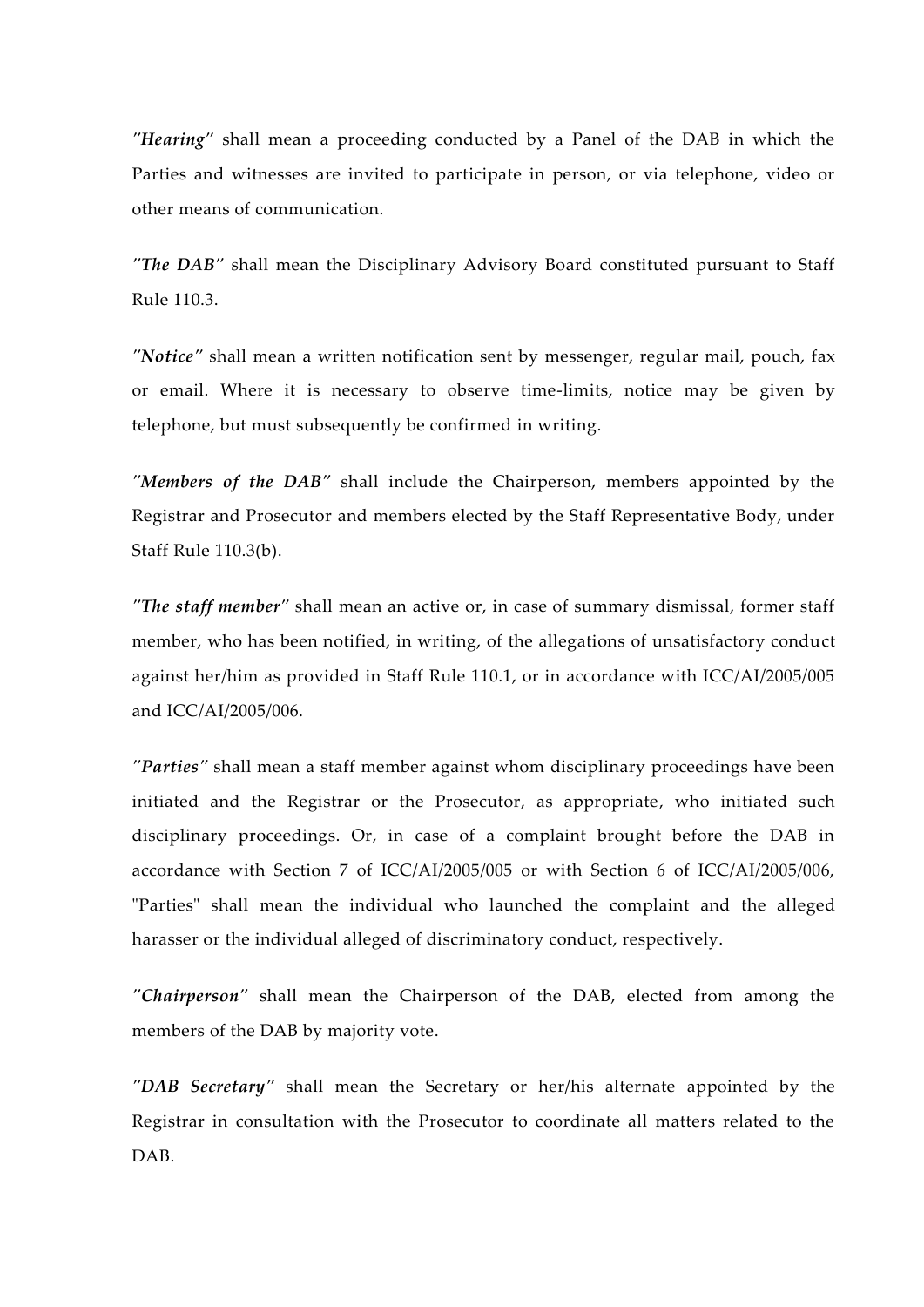*"Hearing"* shall mean a proceeding conducted by a Panel of the DAB in which the Parties and witnesses are invited to participate in person, or via telephone, video or other means of communication.

*"The DAB"* shall mean the Disciplinary Advisory Board constituted pursuant to Staff Rule 110.3.

*"Notice"* shall mean a written notification sent by messenger, regular mail, pouch, fax or email. Where it is necessary to observe time-limits, notice may be given by telephone, but must subsequently be confirmed in writing.

*"Members of the DAB"* shall include the Chairperson, members appointed by the Registrar and Prosecutor and members elected by the Staff Representative Body, under Staff Rule 110.3(b).

*"The staff member"* shall mean an active or, in case of summary dismissal, former staff member, who has been notified, in writing, of the allegations of unsatisfactory conduct against her/him as provided in Staff Rule 110.1, or in accordance with ICC/AI/2005/005 and ICC/AI/2005/006.

*"Parties"* shall mean a staff member against whom disciplinary proceedings have been initiated and the Registrar or the Prosecutor, as appropriate, who initiated such disciplinary proceedings. Or, in case of a complaint brought before the DAB in accordance with Section 7 of ICC/AI/2005/005 or with Section 6 of ICC/AI/2005/006, "Parties" shall mean the individual who launched the complaint and the alleged harasser or the individual alleged of discriminatory conduct, respectively.

*"Chairperson"* shall mean the Chairperson of the DAB, elected from among the members of the DAB by majority vote.

*"DAB Secretary"* shall mean the Secretary or her/his alternate appointed by the Registrar in consultation with the Prosecutor to coordinate all matters related to the DAB.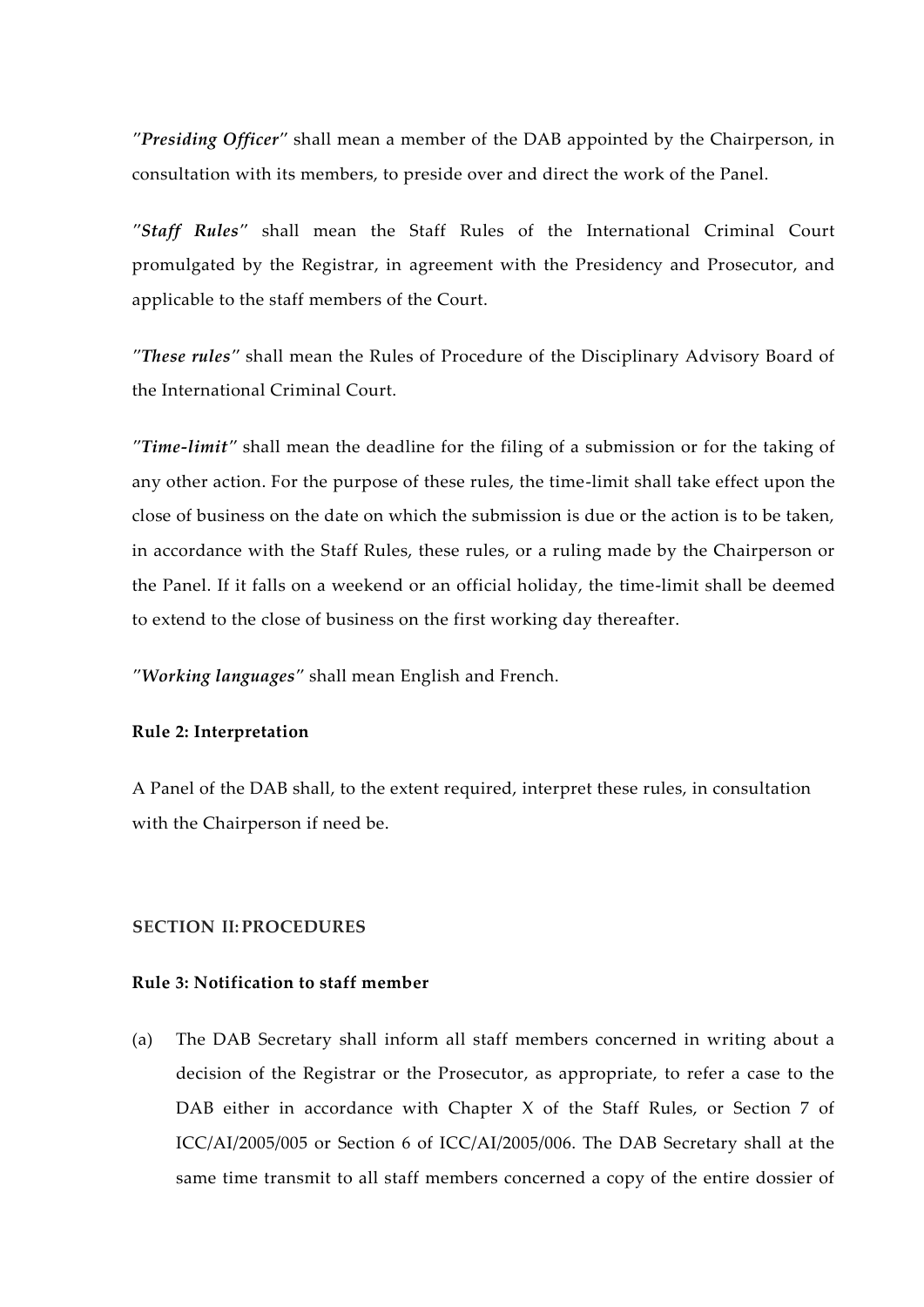*"Presiding Officer"* shall mean a member of the DAB appointed by the Chairperson, in consultation with its members, to preside over and direct the work of the Panel.

*"Staff Rules"* shall mean the Staff Rules of the International Criminal Court promulgated by the Registrar, in agreement with the Presidency and Prosecutor, and applicable to the staff members of the Court.

*"These rules"* shall mean the Rules of Procedure of the Disciplinary Advisory Board of the International Criminal Court.

*"Time-limit"* shall mean the deadline for the filing of a submission or for the taking of any other action. For the purpose of these rules, the time-limit shall take effect upon the close of business on the date on which the submission is due or the action is to be taken, in accordance with the Staff Rules, these rules, or a ruling made by the Chairperson or the Panel. If it falls on a weekend or an official holiday, the time-limit shall be deemed to extend to the close of business on the first working day thereafter.

*"Working languages"* shall mean English and French.

#### **Rule 2: Interpretation**

A Panel of the DAB shall, to the extent required, interpret these rules, in consultation with the Chairperson if need be.

# **SECTION II: PROCEDURES**

# **Rule 3: Notification to staff member**

(a) The DAB Secretary shall inform all staff members concerned in writing about a decision of the Registrar or the Prosecutor, as appropriate, to refer a case to the DAB either in accordance with Chapter X of the Staff Rules, or Section 7 of ICC/AI/2005/005 or Section 6 of ICC/AI/2005/006. The DAB Secretary shall at the same time transmit to all staff members concerned a copy of the entire dossier of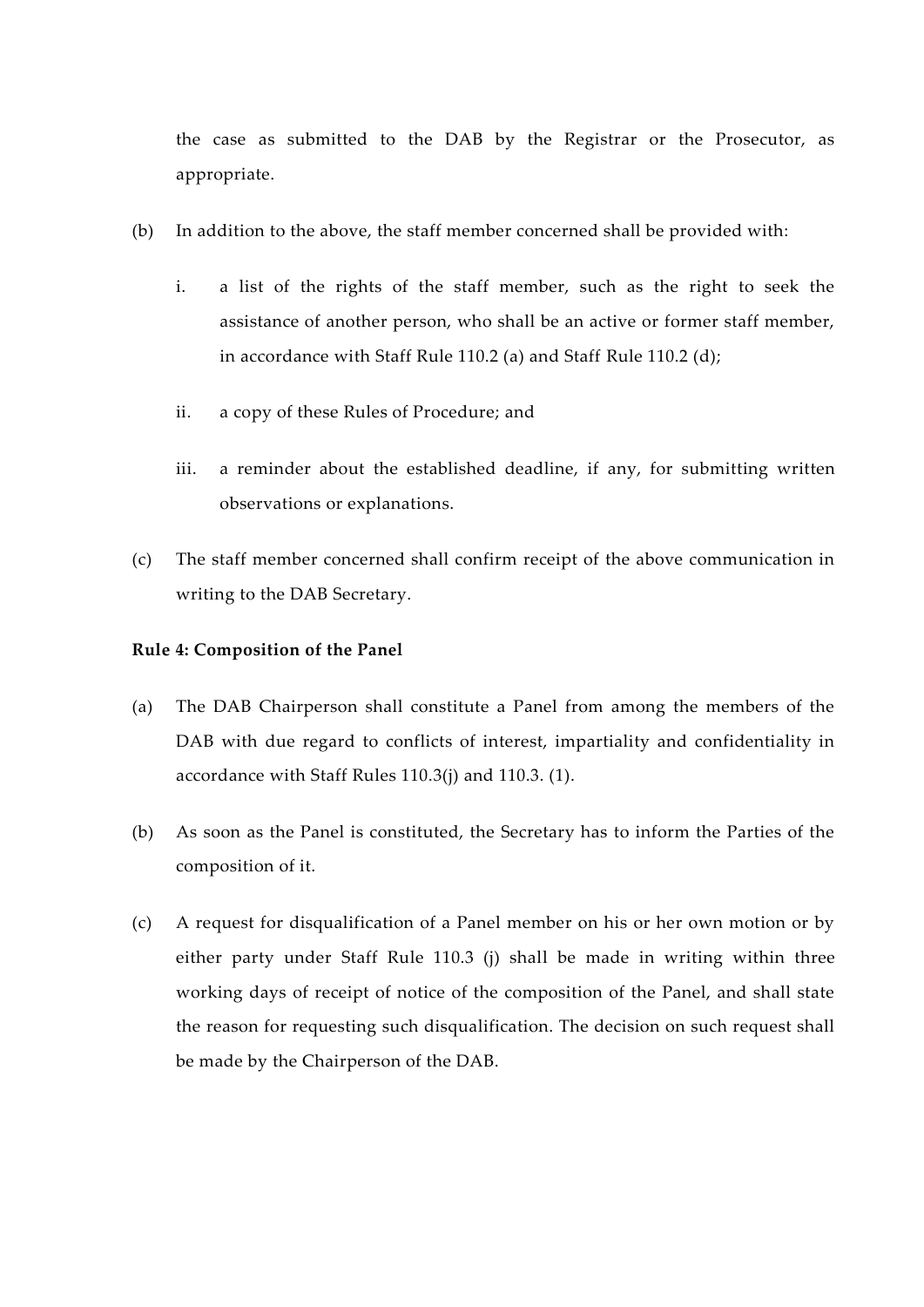the case as submitted to the DAB by the Registrar or the Prosecutor, as appropriate.

- (b) In addition to the above, the staff member concerned shall be provided with:
	- i. a list of the rights of the staff member, such as the right to seek the assistance of another person, who shall be an active or former staff member, in accordance with Staff Rule 110.2 (a) and Staff Rule 110.2 (d);
	- ii. a copy of these Rules of Procedure; and
	- iii. a reminder about the established deadline, if any, for submitting written observations or explanations.
- (c) The staff member concerned shall confirm receipt of the above communication in writing to the DAB Secretary.

#### **Rule 4: Composition of the Panel**

- (a) The DAB Chairperson shall constitute a Panel from among the members of the DAB with due regard to conflicts of interest, impartiality and confidentiality in accordance with Staff Rules 110.3(j) and 110.3. (1).
- (b) As soon as the Panel is constituted, the Secretary has to inform the Parties of the composition of it.
- (c) A request for disqualification of a Panel member on his or her own motion or by either party under Staff Rule 110.3 (j) shall be made in writing within three working days of receipt of notice of the composition of the Panel, and shall state the reason for requesting such disqualification. The decision on such request shall be made by the Chairperson of the DAB.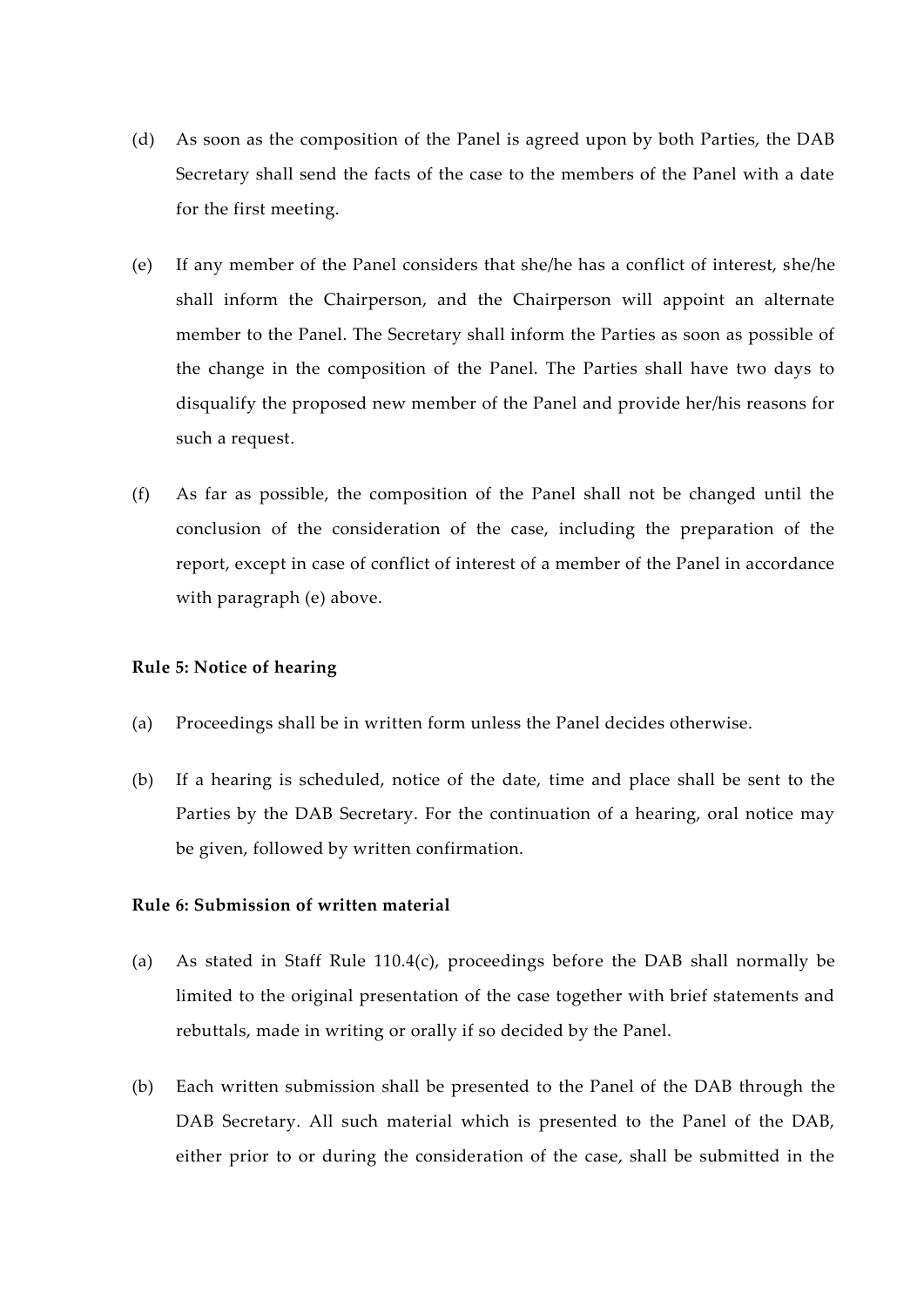- (d) As soon as the composition of the Panel is agreed upon by both Parties, the DAB Secretary shall send the facts of the case to the members of the Panel with a date for the first meeting.
- (e) If any member of the Panel considers that she/he has a conflict of interest, she/he shall inform the Chairperson, and the Chairperson will appoint an alternate member to the Panel. The Secretary shall inform the Parties as soon as possible of the change in the composition of the Panel. The Parties shall have two days to disqualify the proposed new member of the Panel and provide her/his reasons for such a request.
- (f) As far as possible, the composition of the Panel shall not be changed until the conclusion of the consideration of the case, including the preparation of the report, except in case of conflict of interest of a member of the Panel in accordance with paragraph (e) above.

#### **Rule 5: Notice of hearing**

- (a) Proceedings shall be in written form unless the Panel decides otherwise.
- (b) If a hearing is scheduled, notice of the date, time and place shall be sent to the Parties by the DAB Secretary. For the continuation of a hearing, oral notice may be given, followed by written confirmation.

#### **Rule 6: Submission of written material**

- (a) As stated in Staff Rule 110.4(c), proceedings before the DAB shall normally be limited to the original presentation of the case together with brief statements and rebuttals, made in writing or orally if so decided by the Panel.
- (b) Each written submission shall be presented to the Panel of the DAB through the DAB Secretary. All such material which is presented to the Panel of the DAB, either prior to or during the consideration of the case, shall be submitted in the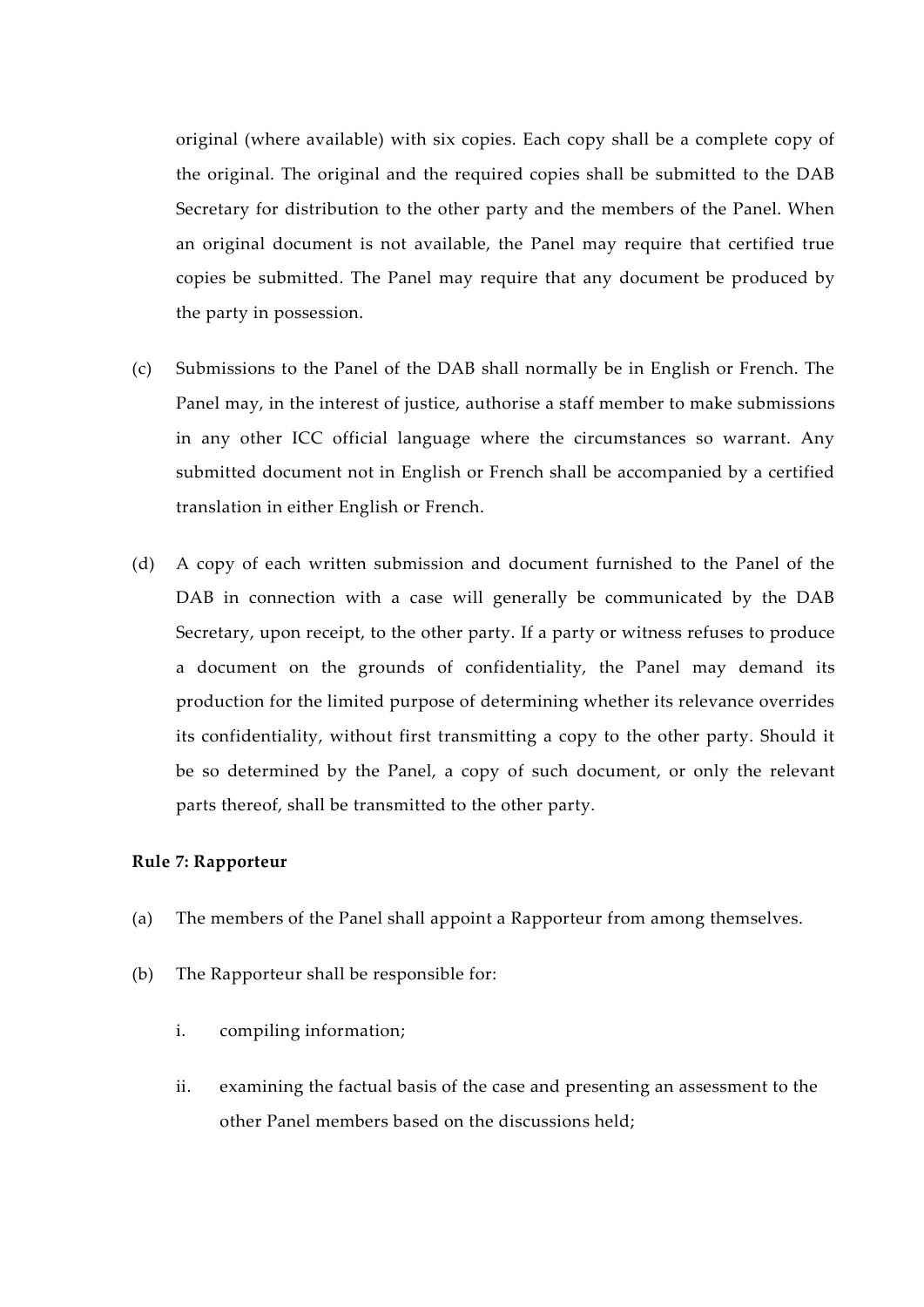original (where available) with six copies. Each copy shall be a complete copy of the original. The original and the required copies shall be submitted to the DAB Secretary for distribution to the other party and the members of the Panel. When an original document is not available, the Panel may require that certified true copies be submitted. The Panel may require that any document be produced by the party in possession.

- (c) Submissions to the Panel of the DAB shall normally be in English or French. The Panel may, in the interest of justice, authorise a staff member to make submissions in any other ICC official language where the circumstances so warrant. Any submitted document not in English or French shall be accompanied by a certified translation in either English or French.
- (d) A copy of each written submission and document furnished to the Panel of the DAB in connection with a case will generally be communicated by the DAB Secretary, upon receipt, to the other party. If a party or witness refuses to produce a document on the grounds of confidentiality, the Panel may demand its production for the limited purpose of determining whether its relevance overrides its confidentiality, without first transmitting a copy to the other party. Should it be so determined by the Panel, a copy of such document, or only the relevant parts thereof, shall be transmitted to the other party.

# **Rule 7: Rapporteur**

- (a) The members of the Panel shall appoint a Rapporteur from among themselves.
- (b) The Rapporteur shall be responsible for:
	- i. compiling information;
	- ii. examining the factual basis of the case and presenting an assessment to the other Panel members based on the discussions held;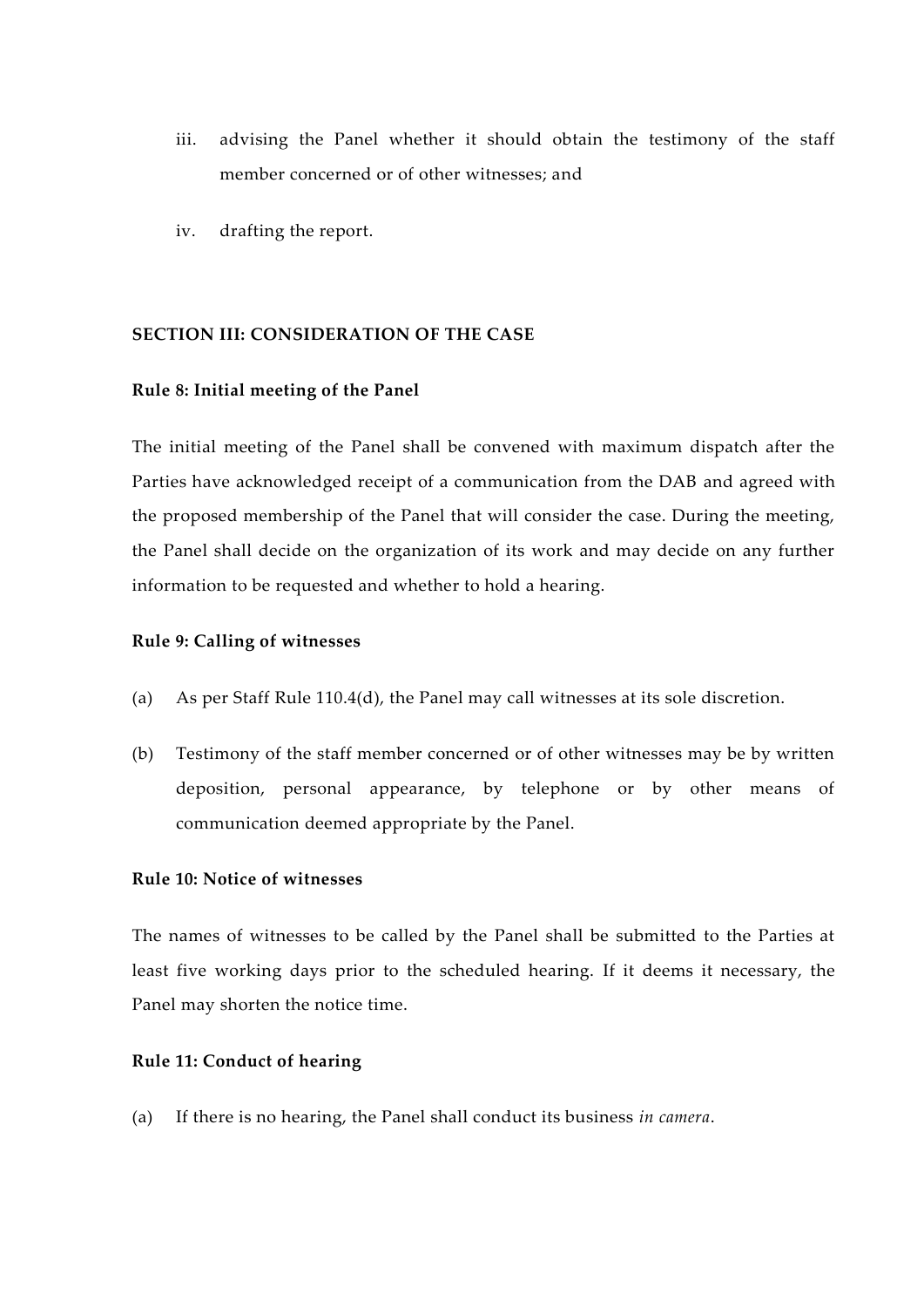- iii. advising the Panel whether it should obtain the testimony of the staff member concerned or of other witnesses; and
- iv. drafting the report.

# **SECTION III: CONSIDERATION OF THE CASE**

#### **Rule 8: Initial meeting of the Panel**

The initial meeting of the Panel shall be convened with maximum dispatch after the Parties have acknowledged receipt of a communication from the DAB and agreed with the proposed membership of the Panel that will consider the case. During the meeting, the Panel shall decide on the organization of its work and may decide on any further information to be requested and whether to hold a hearing.

#### **Rule 9: Calling of witnesses**

- (a) As per Staff Rule 110.4(d), the Panel may call witnesses at its sole discretion.
- (b) Testimony of the staff member concerned or of other witnesses may be by written deposition, personal appearance, by telephone or by other means of communication deemed appropriate by the Panel.

# **Rule 10: Notice of witnesses**

The names of witnesses to be called by the Panel shall be submitted to the Parties at least five working days prior to the scheduled hearing. If it deems it necessary, the Panel may shorten the notice time.

### **Rule 11: Conduct of hearing**

(a) If there is no hearing, the Panel shall conduct its business *in camera*.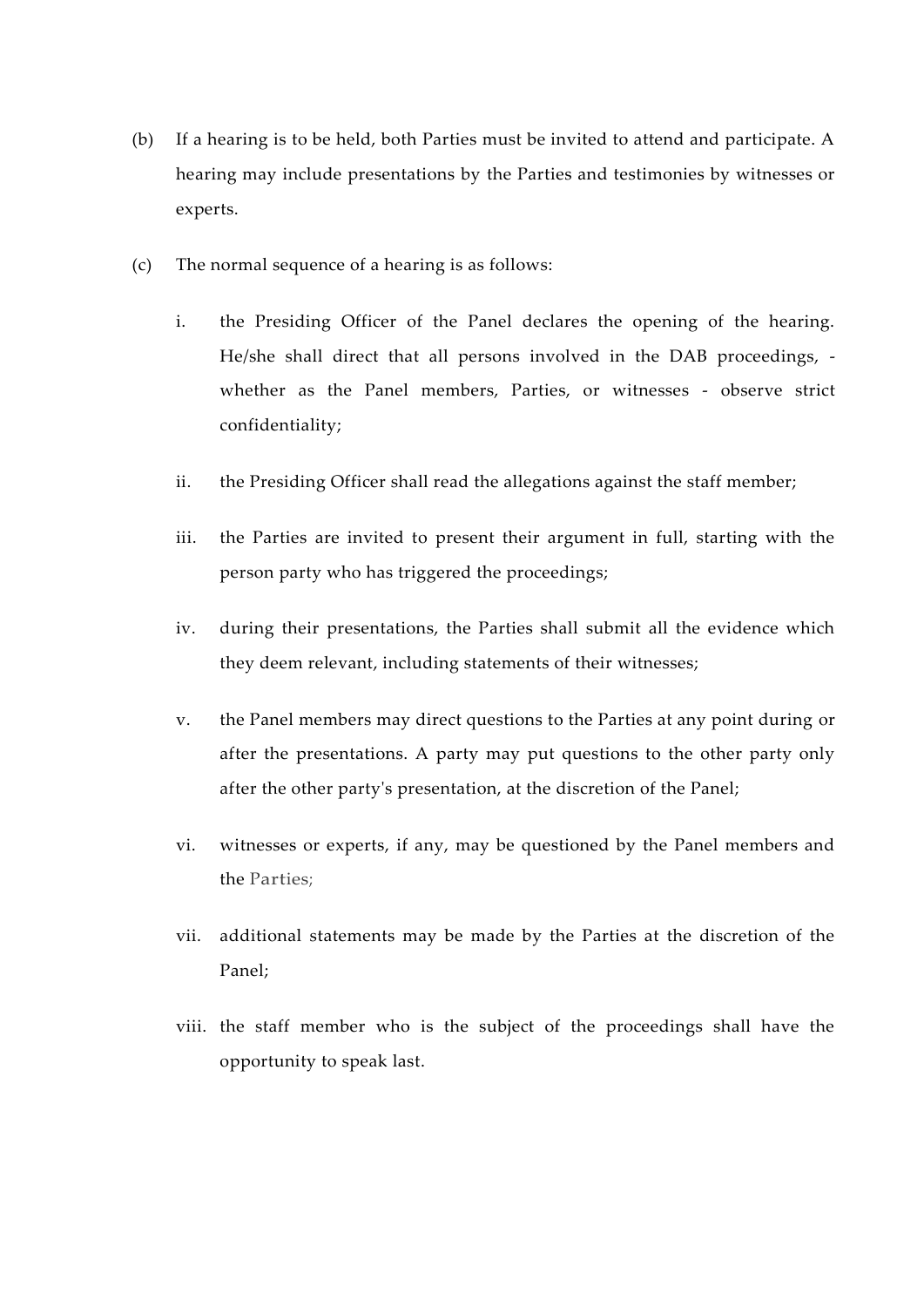- (b) If a hearing is to be held, both Parties must be invited to attend and participate. A hearing may include presentations by the Parties and testimonies by witnesses or experts.
- (c) The normal sequence of a hearing is as follows:
	- i. the Presiding Officer of the Panel declares the opening of the hearing. He/she shall direct that all persons involved in the DAB proceedings, whether as the Panel members, Parties, or witnesses - observe strict confidentiality;
	- ii. the Presiding Officer shall read the allegations against the staff member;
	- iii. the Parties are invited to present their argument in full, starting with the person party who has triggered the proceedings;
	- iv. during their presentations, the Parties shall submit all the evidence which they deem relevant, including statements of their witnesses;
	- v. the Panel members may direct questions to the Parties at any point during or after the presentations. A party may put questions to the other party only after the other party's presentation, at the discretion of the Panel;
	- vi. witnesses or experts, if any, may be questioned by the Panel members and the Parties;
	- vii. additional statements may be made by the Parties at the discretion of the Panel;
	- viii. the staff member who is the subject of the proceedings shall have the opportunity to speak last.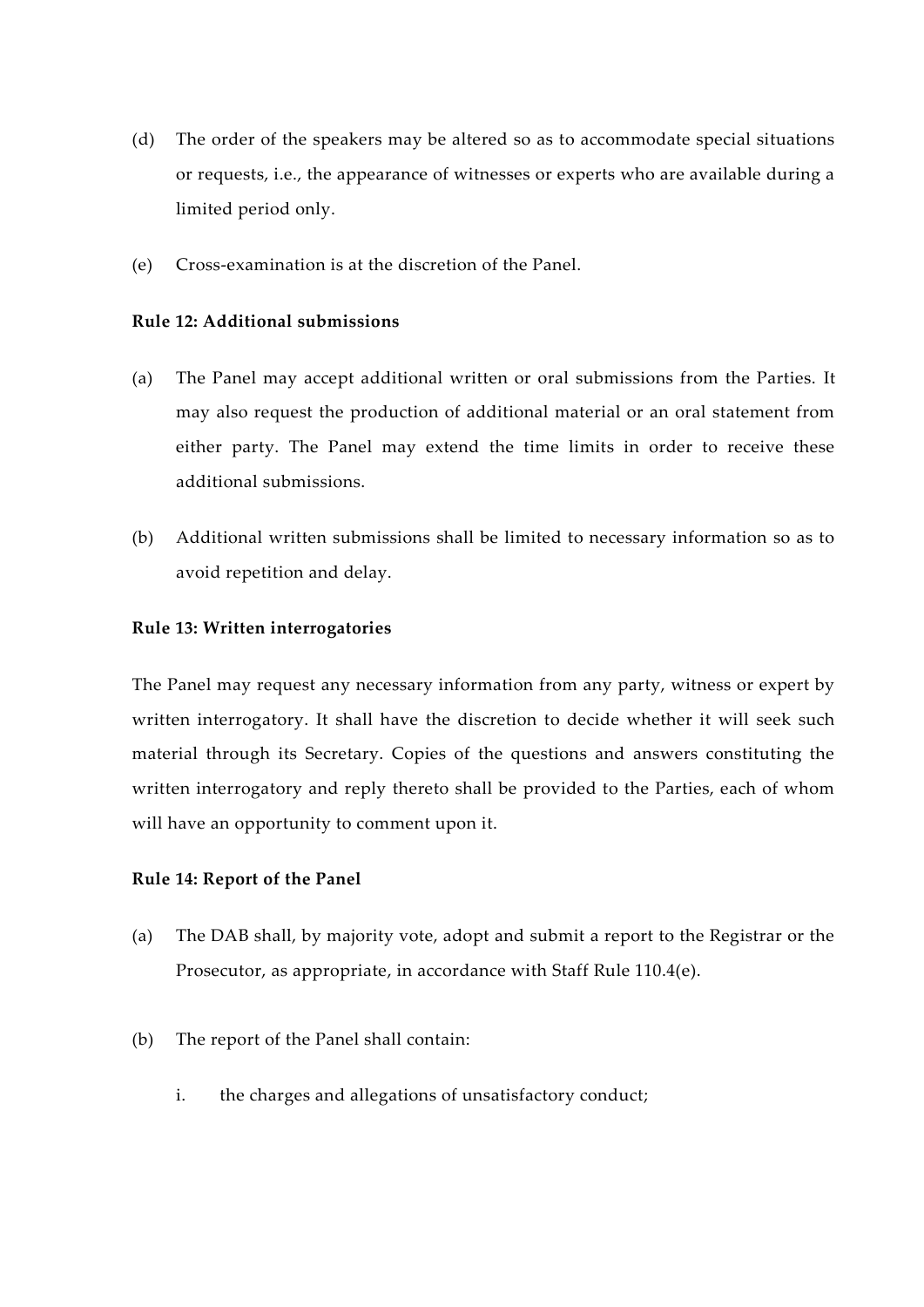- (d) The order of the speakers may be altered so as to accommodate special situations or requests, i.e., the appearance of witnesses or experts who are available during a limited period only.
- (e) Cross-examination is at the discretion of the Panel.

# **Rule 12: Additional submissions**

- (a) The Panel may accept additional written or oral submissions from the Parties. It may also request the production of additional material or an oral statement from either party. The Panel may extend the time limits in order to receive these additional submissions.
- (b) Additional written submissions shall be limited to necessary information so as to avoid repetition and delay.

### **Rule 13: Written interrogatories**

The Panel may request any necessary information from any party, witness or expert by written interrogatory. It shall have the discretion to decide whether it will seek such material through its Secretary. Copies of the questions and answers constituting the written interrogatory and reply thereto shall be provided to the Parties, each of whom will have an opportunity to comment upon it.

#### **Rule 14: Report of the Panel**

- (a) The DAB shall, by majority vote, adopt and submit a report to the Registrar or the Prosecutor, as appropriate, in accordance with Staff Rule 110.4(e).
- (b) The report of the Panel shall contain:
	- i. the charges and allegations of unsatisfactory conduct;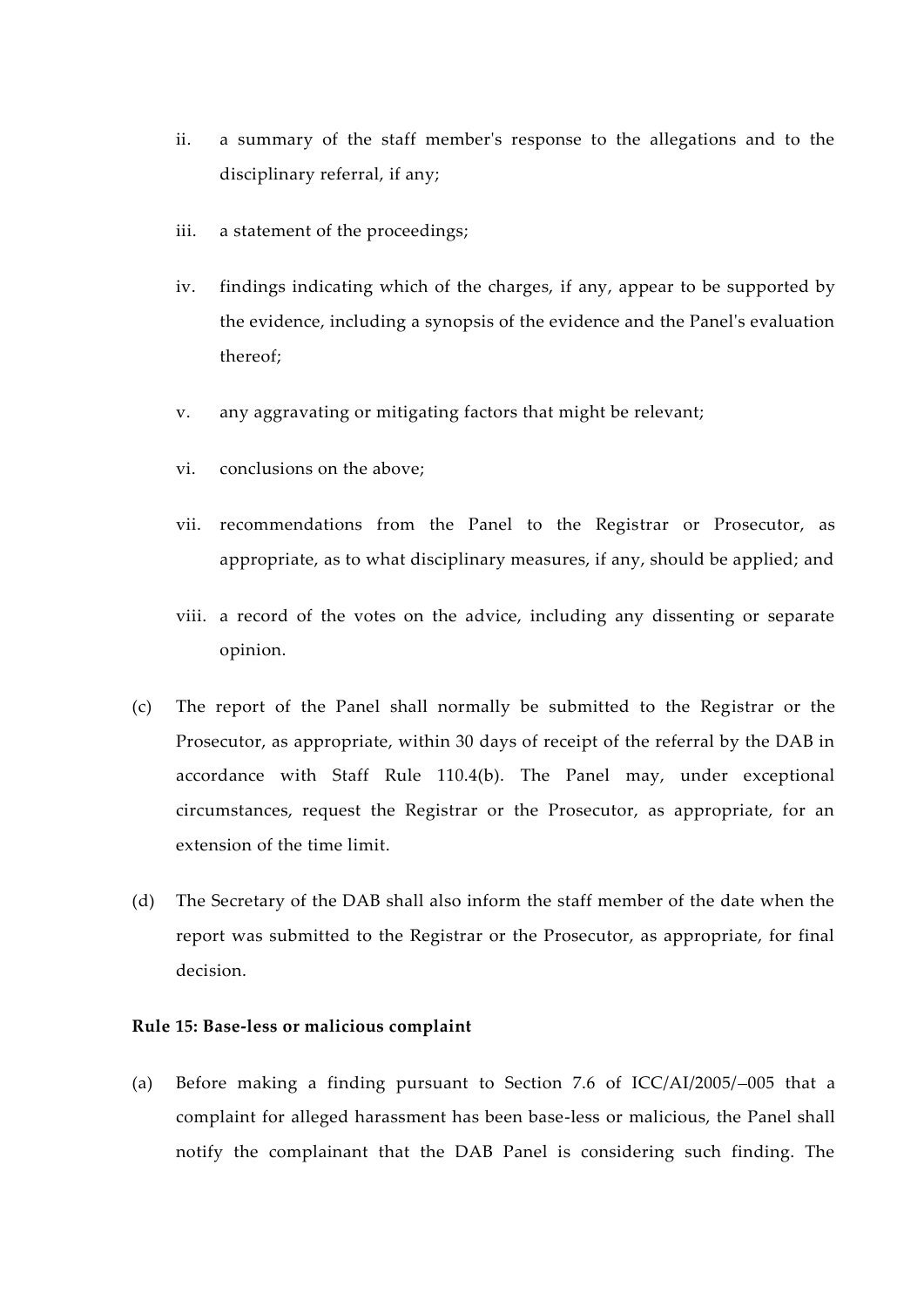- ii. a summary of the staff member's response to the allegations and to the disciplinary referral, if any;
- iii. a statement of the proceedings;
- iv. findings indicating which of the charges, if any, appear to be supported by the evidence, including a synopsis of the evidence and the Panel's evaluation thereof;
- v. any aggravating or mitigating factors that might be relevant;
- vi. conclusions on the above;
- vii. recommendations from the Panel to the Registrar or Prosecutor, as appropriate, as to what disciplinary measures, if any, should be applied; and
- viii. a record of the votes on the advice, including any dissenting or separate opinion.
- (c) The report of the Panel shall normally be submitted to the Registrar or the Prosecutor, as appropriate, within 30 days of receipt of the referral by the DAB in accordance with Staff Rule 110.4(b). The Panel may, under exceptional circumstances, request the Registrar or the Prosecutor, as appropriate, for an extension of the time limit.
- (d) The Secretary of the DAB shall also inform the staff member of the date when the report was submitted to the Registrar or the Prosecutor, as appropriate, for final decision.

# **Rule 15: Base-less or malicious complaint**

(a) Before making a finding pursuant to Section 7.6 of ICC/AI/2005/ 005 that a complaint for alleged harassment has been base-less or malicious, the Panel shall notify the complainant that the DAB Panel is considering such finding. The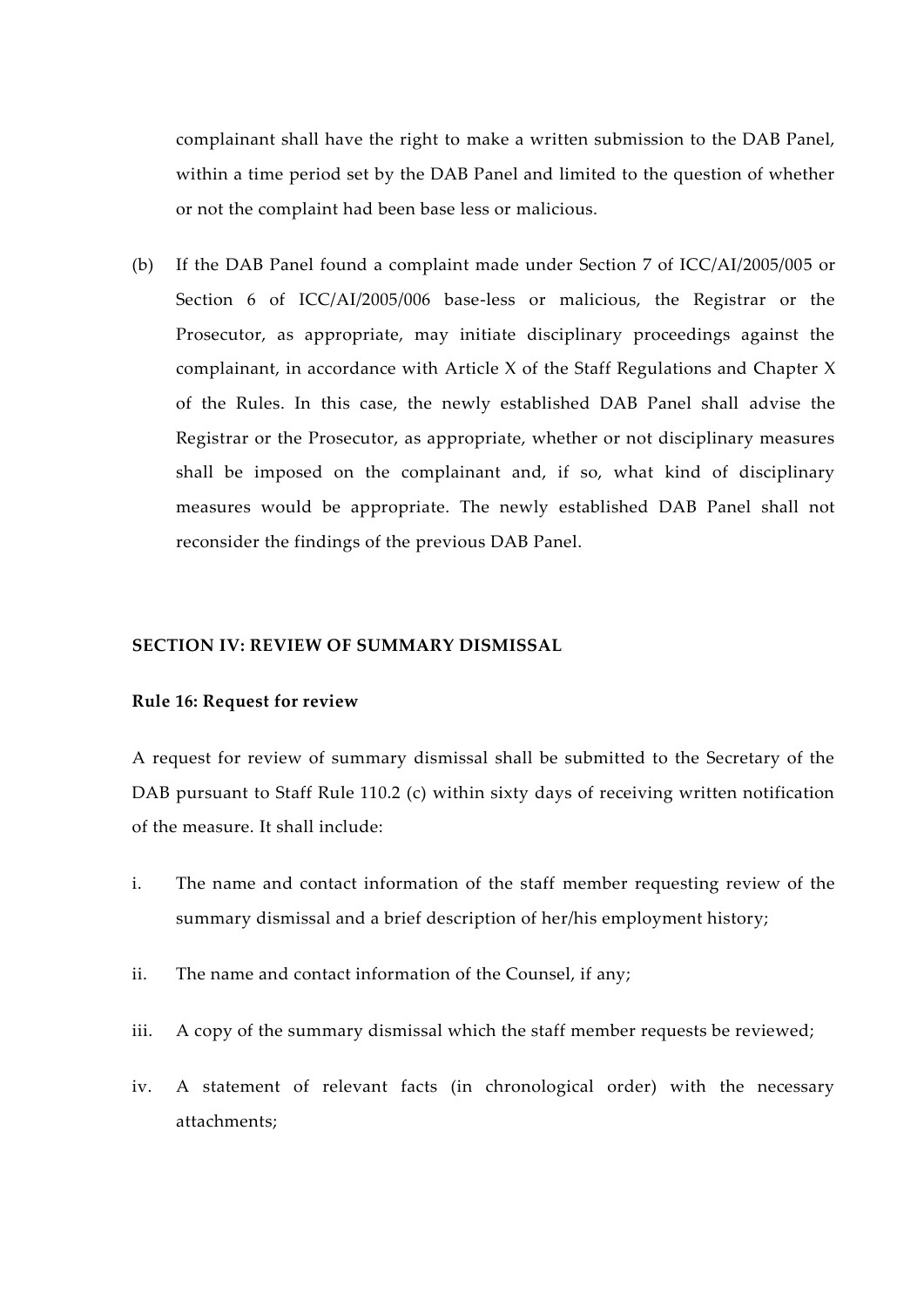complainant shall have the right to make a written submission to the DAB Panel, within a time period set by the DAB Panel and limited to the question of whether or not the complaint had been base less or malicious.

(b) If the DAB Panel found a complaint made under Section 7 of ICC/AI/2005/005 or Section 6 of ICC/AI/2005/006 base-less or malicious, the Registrar or the Prosecutor, as appropriate, may initiate disciplinary proceedings against the complainant, in accordance with Article X of the Staff Regulations and Chapter X of the Rules. In this case, the newly established DAB Panel shall advise the Registrar or the Prosecutor, as appropriate, whether or not disciplinary measures shall be imposed on the complainant and, if so, what kind of disciplinary measures would be appropriate. The newly established DAB Panel shall not reconsider the findings of the previous DAB Panel.

#### **SECTION IV: REVIEW OF SUMMARY DISMISSAL**

#### **Rule 16: Request for review**

A request for review of summary dismissal shall be submitted to the Secretary of the DAB pursuant to Staff Rule 110.2 (c) within sixty days of receiving written notification of the measure. It shall include:

- i. The name and contact information of the staff member requesting review of the summary dismissal and a brief description of her/his employment history;
- ii. The name and contact information of the Counsel, if any;
- iii. A copy of the summary dismissal which the staff member requests be reviewed;
- iv. A statement of relevant facts (in chronological order) with the necessary attachments;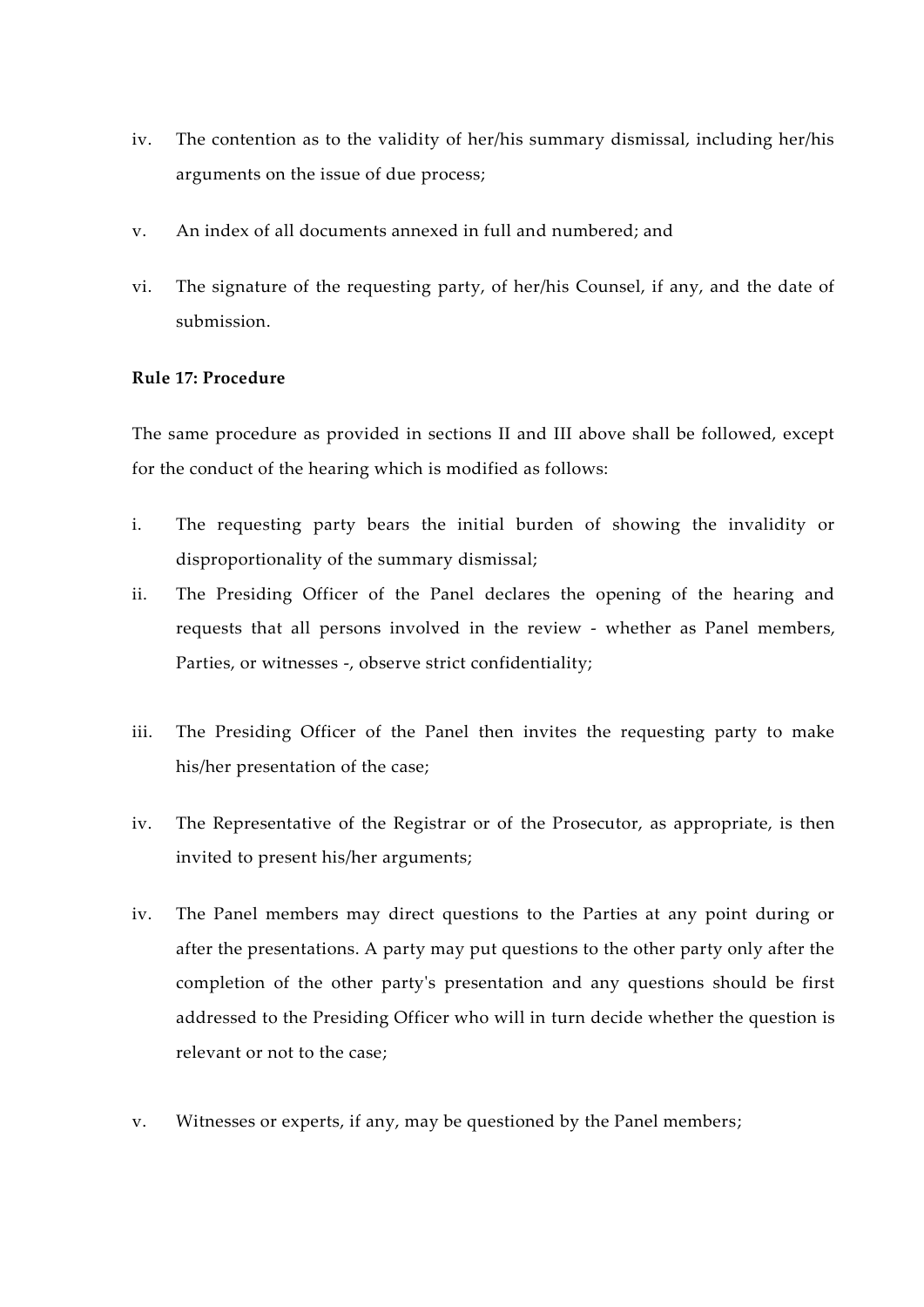- iv. The contention as to the validity of her/his summary dismissal, including her/his arguments on the issue of due process;
- v. An index of all documents annexed in full and numbered; and
- vi. The signature of the requesting party, of her/his Counsel, if any, and the date of submission.

# **Rule 17: Procedure**

The same procedure as provided in sections II and III above shall be followed, except for the conduct of the hearing which is modified as follows:

- i. The requesting party bears the initial burden of showing the invalidity or disproportionality of the summary dismissal;
- ii. The Presiding Officer of the Panel declares the opening of the hearing and requests that all persons involved in the review - whether as Panel members, Parties, or witnesses -, observe strict confidentiality;
- iii. The Presiding Officer of the Panel then invites the requesting party to make his/her presentation of the case;
- iv. The Representative of the Registrar or of the Prosecutor, as appropriate, is then invited to present his/her arguments;
- iv. The Panel members may direct questions to the Parties at any point during or after the presentations. A party may put questions to the other party only after the completion of the other party's presentation and any questions should be first addressed to the Presiding Officer who will in turn decide whether the question is relevant or not to the case;
- v. Witnesses or experts, if any, may be questioned by the Panel members;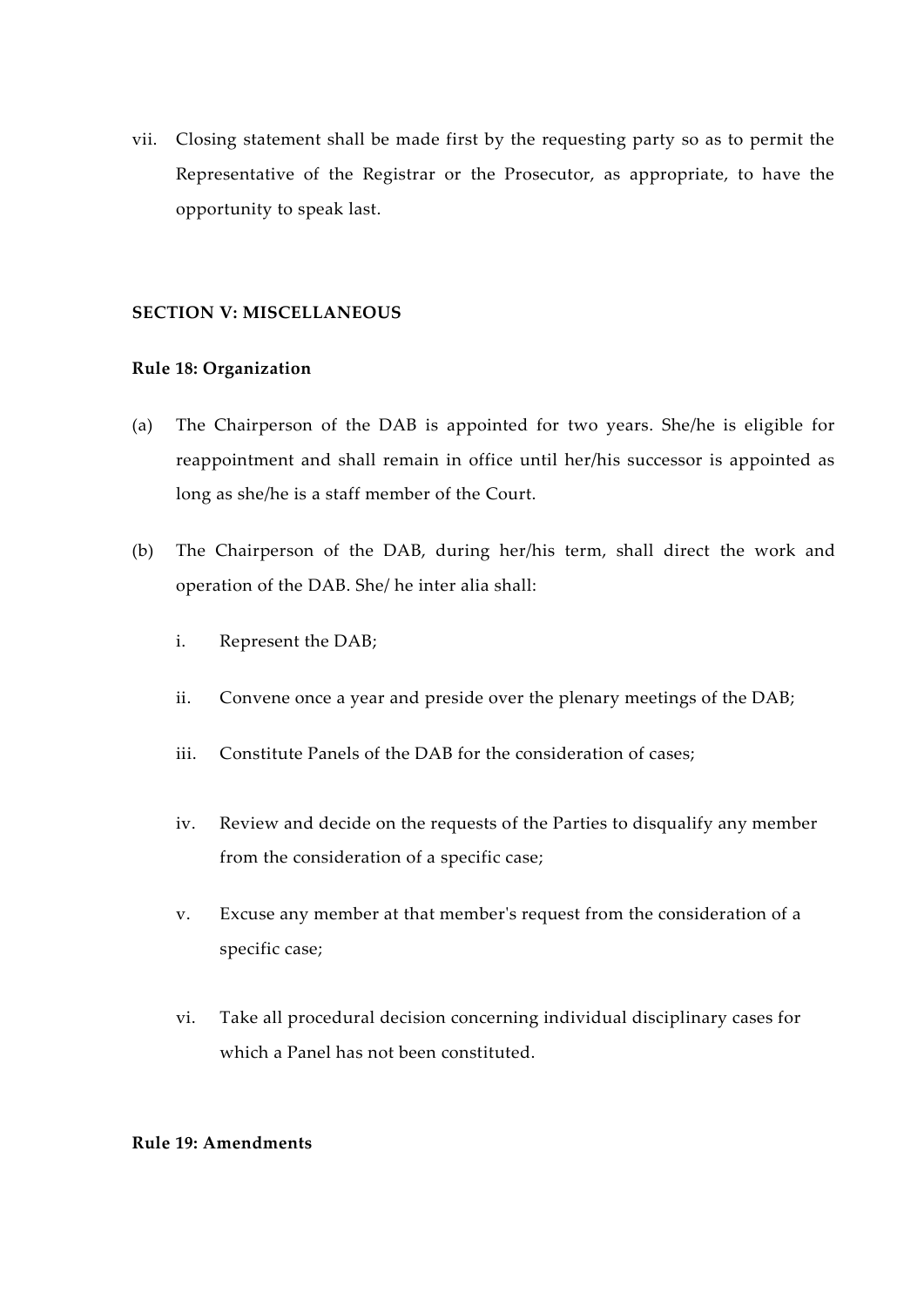vii. Closing statement shall be made first by the requesting party so as to permit the Representative of the Registrar or the Prosecutor, as appropriate, to have the opportunity to speak last.

# **SECTION V: MISCELLANEOUS**

# **Rule 18: Organization**

- (a) The Chairperson of the DAB is appointed for two years. She/he is eligible for reappointment and shall remain in office until her/his successor is appointed as long as she/he is a staff member of the Court.
- (b) The Chairperson of the DAB, during her/his term, shall direct the work and operation of the DAB. She/ he inter alia shall:
	- i. Represent the DAB;
	- ii. Convene once a year and preside over the plenary meetings of the DAB;
	- iii. Constitute Panels of the DAB for the consideration of cases;
	- iv. Review and decide on the requests of the Parties to disqualify any member from the consideration of a specific case;
	- v. Excuse any member at that member's request from the consideration of a specific case;
	- vi. Take all procedural decision concerning individual disciplinary cases for which a Panel has not been constituted.

#### **Rule 19: Amendments**